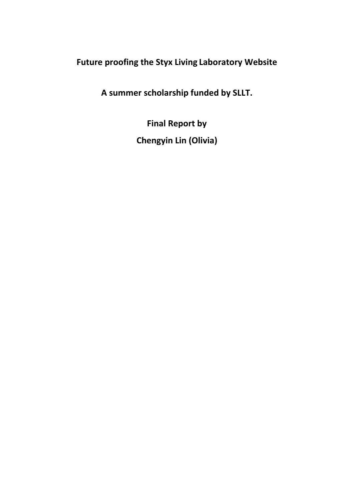# **Future proofing the Styx Living Laboratory Website**

**A summer scholarship funded by SLLT.**

**Final Report by Chengyin Lin (Olivia)**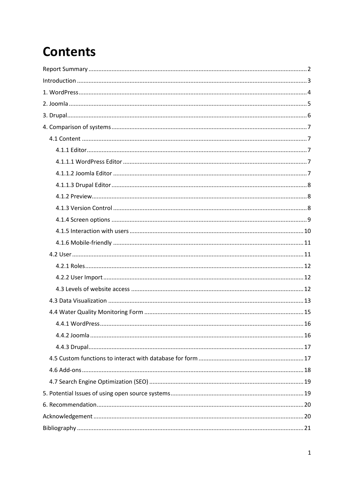# **Contents**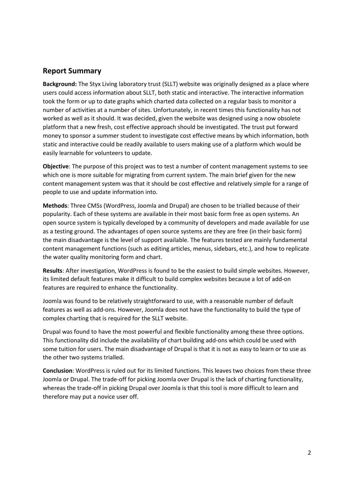#### <span id="page-2-0"></span>**Report Summary**

**Background:** The Styx Living laboratory trust (SLLT) website was originally designed as a place where users could access information about SLLT, both static and interactive. The interactive information took the form or up to date graphs which charted data collected on a regular basis to monitor a number of activities at a number of sites. Unfortunately, in recent times this functionality has not worked as well as it should. It was decided, given the website was designed using a now obsolete platform that a new fresh, cost effective approach should be investigated. The trust put forward money to sponsor a summer student to investigate cost effective means by which information, both static and interactive could be readily available to users making use of a platform which would be easily learnable for volunteers to update.

**Objective**: The purpose of this project was to test a number of content management systems to see which one is more suitable for migrating from current system. The main brief given for the new content management system was that it should be cost effective and relatively simple for a range of people to use and update information into.

**Methods**: Three CMSs (WordPress, Joomla and Drupal) are chosen to be trialled because of their popularity. Each of these systems are available in their most basic form free as open systems. An open source system is typically developed by a community of developers and made available for use as a testing ground. The advantages of open source systems are they are free (in their basic form) the main disadvantage is the level of support available. The features tested are mainly fundamental content management functions (such as editing articles, menus, sidebars, etc.), and how to replicate the water quality monitoring form and chart.

**Results**: After investigation, WordPress is found to be the easiest to build simple websites. However, its limited default features make it difficult to build complex websites because a lot of add-on features are required to enhance the functionality.

Joomla was found to be relatively straightforward to use, with a reasonable number of default features as well as add-ons. However, Joomla does not have the functionality to build the type of complex charting that is required for the SLLT website.

Drupal was found to have the most powerful and flexible functionality among these three options. This functionality did include the availability of chart building add-ons which could be used with some tuition for users. The main disadvantage of Drupal is that it is not as easy to learn or to use as the other two systems trialled.

<span id="page-2-1"></span>**Conclusion**: WordPress is ruled out for its limited functions. This leaves two choices from these three Joomla or Drupal. The trade-off for picking Joomla over Drupal is the lack of charting functionality, whereas the trade-off in picking Drupal over Joomla is that this tool is more difficult to learn and therefore may put a novice user off.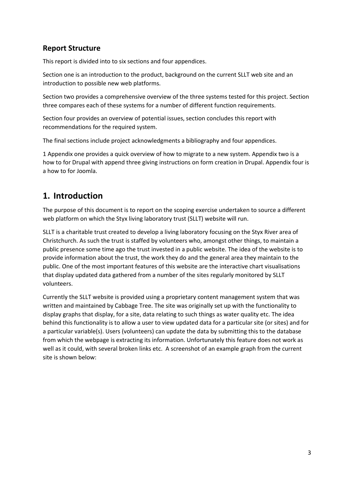### **Report Structure**

This report is divided into to six sections and four appendices.

Section one is an introduction to the product, background on the current SLLT web site and an introduction to possible new web platforms.

Section two provides a comprehensive overview of the three systems tested for this project. Section three compares each of these systems for a number of different function requirements.

Section four provides an overview of potential issues, section concludes this report with recommendations for the required system.

The final sections include project acknowledgments a bibliography and four appendices.

1 Appendix one provides a quick overview of how to migrate to a new system. Appendix two is a how to for Drupal with append three giving instructions on form creation in Drupal. Appendix four is a how to for Joomla.

## **1. Introduction**

The purpose of this document is to report on the scoping exercise undertaken to source a different web platform on which the Styx living laboratory trust (SLLT) website will run.

SLLT is a charitable trust created to develop a living laboratory focusing on the Styx River area of Christchurch. As such the trust is staffed by volunteers who, amongst other things, to maintain a public presence some time ago the trust invested in a public website. The idea of the website is to provide information about the trust, the work they do and the general area they maintain to the public. One of the most important features of this website are the interactive chart visualisations that display updated data gathered from a number of the sites regularly monitored by SLLT volunteers.

Currently the SLLT website is provided using a proprietary content management system that was written and maintained by Cabbage Tree. The site was originally set up with the functionality to display graphs that display, for a site, data relating to such things as water quality etc. The idea behind this functionality is to allow a user to view updated data for a particular site (or sites) and for a particular variable(s). Users (volunteers) can update the data by submitting this to the database from which the webpage is extracting its information. Unfortunately this feature does not work as well as it could, with several broken links etc. A screenshot of an example graph from the current site is shown below: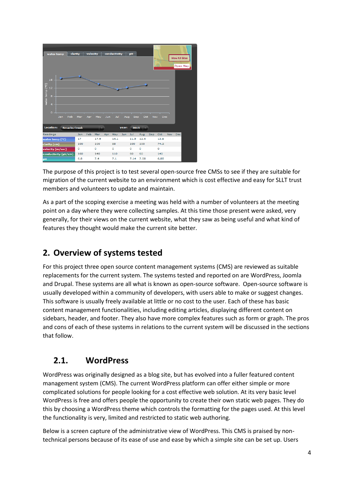

The purpose of this project is to test several open-source free CMSs to see if they are suitable for migration of the current website to an environment which is cost effective and easy for SLLT trust members and volunteers to update and maintain.

As a part of the scoping exercise a meeting was held with a number of volunteers at the meeting point on a day where they were collecting samples. At this time those present were asked, very generally, for their views on the current website, what they saw as being useful and what kind of features they thought would make the current site better.

# <span id="page-4-0"></span>**2. Overview of systems tested**

For this project three open source content management systems (CMS) are reviewed as suitable replacements for the current system. The systems tested and reported on are WordPress, Joomla and Drupal. These systems are all what is known as open-source software. Open-source software is usually developed within a community of developers, with users able to make or suggest changes. This software is usually freely available at little or no cost to the user. Each of these has basic content management functionalities, including editing articles, displaying different content on sidebars, header, and footer. They also have more complex features such as form or graph. The pros and cons of each of these systems in relations to the current system will be discussed in the sections that follow.

### **2.1. WordPress**

WordPress was originally designed as a blog site, but has evolved into a fuller featured content management system (CMS). The current WordPress platform can offer either simple or more complicated solutions for people looking for a cost effective web solution. At its very basic level WordPress is free and offers people the opportunity to create their own static web pages. They do this by choosing a WordPress theme which controls the formatting for the pages used. At this level the functionality is very, limited and restricted to static web authoring.

Below is a screen capture of the administrative view of WordPress. This CMS is praised by nontechnical persons because of its ease of use and ease by which a simple site can be set up. Users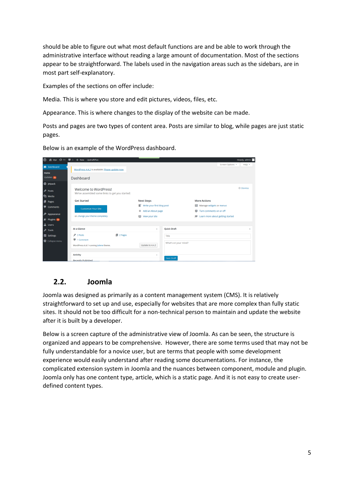should be able to figure out what most default functions are and be able to work through the administrative interface without reading a large amount of documentation. Most of the sections appear to be straightforward. The labels used in the navigation areas such as the sidebars, are in most part self-explanatory.

Examples of the sections on offer include:

Media. This is where you store and edit pictures, videos, files, etc.

Appearance. This is where changes to the display of the website can be made.

Posts and pages are two types of content area. Posts are similar to blog, while pages are just static pages.

Below is an example of the WordPress dashboard.

| M)                         | 省 styx → 11 ■ 0 + New UpdraftPlus                                       |                                                   |                                                                    | Howdy, admin                 |
|----------------------------|-------------------------------------------------------------------------|---------------------------------------------------|--------------------------------------------------------------------|------------------------------|
| <b>2</b> Dashboard<br>Home | WordPress 4.4.2 is available! Please update now.                        |                                                   | Screen Options                                                     | Help $\overline{\mathbf{v}}$ |
| Updates 10                 | Dashboard                                                               |                                                   |                                                                    |                              |
| <b>O</b> Jetpack           |                                                                         |                                                   |                                                                    |                              |
| $\star$ Posts              | Welcome to WordPress!<br>We've assembled some links to get you started: |                                                   |                                                                    | <b>@</b> Dismiss             |
| <b>91</b> Media            |                                                                         |                                                   |                                                                    |                              |
| Pages                      | <b>Get Started</b>                                                      | <b>Next Steps</b>                                 | <b>More Actions</b>                                                |                              |
| Comments                   | <b>Customize Your Site</b>                                              | Write your first blog post<br>+ Add an About page | Manage widgets or menus<br>Turn comments on or off<br>$\mathbf{x}$ |                              |
| $\rightarrow$ Appearance   | or, change your theme completely                                        | View your site                                    | <b>E</b> Learn more about getting started                          |                              |
| Se Plugins (10)            |                                                                         |                                                   |                                                                    |                              |
| <b>A</b> Users             |                                                                         |                                                   |                                                                    |                              |
| $\sqrt{\ }$ Tools          | At a Glance                                                             | <b>Ouick Draft</b><br>$\Delta$                    |                                                                    | ٠                            |
| En Settings                | $\blacksquare$ 2 Pages<br>$*$ 2 Posts                                   | Title                                             |                                                                    |                              |
| Collapse menu              | 1 Comment<br>WordPress 4.4.1 running Jolene theme.                      | Update to 4.4.2                                   | What's on your mind?                                               |                              |
|                            |                                                                         |                                                   |                                                                    |                              |
|                            | <b>Activity</b>                                                         | A.<br>Save Draft                                  |                                                                    |                              |
|                            | <b>Recently Published</b>                                               |                                                   |                                                                    |                              |

### <span id="page-5-0"></span>**2.2. Joomla**

Joomla was designed as primarily as a content management system (CMS). It is relatively straightforward to set up and use, especially for websites that are more complex than fully static sites. It should not be too difficult for a non-technical person to maintain and update the website after it is built by a developer.

Below is a screen capture of the administrative view of Joomla. As can be seen, the structure is organized and appears to be comprehensive. However, there are some terms used that may not be fully understandable for a novice user, but are terms that people with some development experience would easily understand after reading some documentations. For instance, the complicated extension system in Joomla and the nuances between component, module and plugin. Joomla only has one content type, article, which is a static page. And it is not easy to create userdefined content types.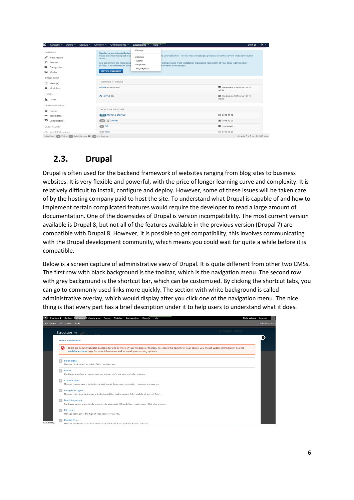| юđ           | System $\sim$                                                                                                                               | Users $-$ | Menus $\sim$ | Content $\sim$           | Components $\sim$                                                                                                                                      | Extensions $\sim$                                        | $Heip -$ |                                                                                                                                                                                               | styx of                      | $\alpha$ . |
|--------------|---------------------------------------------------------------------------------------------------------------------------------------------|-----------|--------------|--------------------------|--------------------------------------------------------------------------------------------------------------------------------------------------------|----------------------------------------------------------|----------|-----------------------------------------------------------------------------------------------------------------------------------------------------------------------------------------------|------------------------------|------------|
|              | <b>CONTENT</b><br>New Article<br><b>C</b> Articles<br>Categories<br>Media                                                                   |           |              | below.                   | You have post-installation<br>There are important post-inst<br>You can review the messages<br>section. This information area<br><b>Review Messages</b> | Manage<br>Modules<br>Plugins<br>Templates<br>Language(s) |          | re your attention. To view those messages please select the Review Messages button<br>Components, Post-installation messages menu item of your site's Administrator<br>e hidden all messages. |                              |            |
|              | <b>STRUCTURE</b><br>$\equiv$ Menu(s)<br>Modules                                                                                             |           |              |                          | <b>LOGGED-IN USERS</b><br>olivia Administration                                                                                                        |                                                          |          | Wednesday, 03 February 2016                                                                                                                                                                   |                              |            |
| <b>USERS</b> | <b>鱼</b> Users                                                                                                                              |           |              | X olivia Site            |                                                                                                                                                        |                                                          |          | 02:54<br>Wednesday, 03 February 2016<br>02:52                                                                                                                                                 |                              |            |
|              | <b>CONFIGURATION</b><br><b>C</b> Global                                                                                                     |           |              |                          | <b>POPULAR ARTICLES</b>                                                                                                                                |                                                          |          |                                                                                                                                                                                               |                              |            |
|              | <b>E</b> Templates<br>$\overline{\mathbf{R}}$ Language(s)                                                                                   |           |              | (70)                     | <b>133 Getting Started</b><br><b>A</b> Form                                                                                                            |                                                          |          | 图 2013-11-16<br>图 2015-12-09                                                                                                                                                                  |                              |            |
|              | <b>EXTENSIONS</b><br>$\stackrel{\text{L}}{\longrightarrow}$ Install Extensions<br>View Site (4) Visitor (4) Administrator (4) (6) - Log out |           |              | $7$ DB<br>$\sqrt{7}$ Map |                                                                                                                                                        |                                                          |          | 图 2015-12-20<br>图 2015-12-20                                                                                                                                                                  | Joomlal 3.4.7 $ @$ 2016 styx |            |

# <span id="page-6-0"></span>**2.3. Drupal**

Drupal is often used for the backend framework of websites ranging from blog sites to business websites. It is very flexible and powerful, with the price of longer learning curve and complexity. It is relatively difficult to install, configure and deploy. However, some of these issues will be taken care of by the hosting company paid to host the site. To understand what Drupal is capable of and how to implement certain complicated features would require the developer to read a large amount of documentation. One of the downsides of Drupal is version incompatibility. The most current version available is Drupal 8, but not all of the features available in the previous version (Drupal 7) are compatible with Drupal 8. However, it is possible to get compatibility, this involves communicating with the Drupal development community, which means you could wait for quite a while before it is compatible.

Below is a screen capture of administrative view of Drupal. It is quite different from other two CMSs. The first row with black background is the toolbar, which is the navigation menu. The second row with grey background is the shortcut bar, which can be customized. By clicking the shortcut tabs, you can go to commonly used links more quickly. The section with white background is called administrative overlay, which would display after you click one of the navigation menu. The nice thing is that every part has a brief description under it to help users to understand what it does.

| n            | Dashboard Content Structure<br>Configuration<br>Appearance<br>People<br>Modules<br>Help<br>Reports                                                                                                                                                     | <b>Hello</b> admin | Log out               |
|--------------|--------------------------------------------------------------------------------------------------------------------------------------------------------------------------------------------------------------------------------------------------------|--------------------|-----------------------|
|              | Add content Find content Blocks                                                                                                                                                                                                                        |                    | <b>Edit shortcuts</b> |
|              | My account Log out<br>Structure $\odot$                                                                                                                                                                                                                |                    |                       |
|              | <b>Home » Administration</b>                                                                                                                                                                                                                           |                    | $\bullet$             |
|              | ×<br>There are security updates available for one or more of your modules or themes. To ensure the security of your server, you should update immediately! See the<br>available updates page for more information and to install your missing updates. |                    |                       |
|              | <b>Block types</b><br>Manage block types, including fields, settings, etc.                                                                                                                                                                             |                    |                       |
|              | <b>Blocks</b><br>Configure what block content appears in your site's sidebars and other regions.                                                                                                                                                       |                    |                       |
|              | <b>Content types</b><br>Manage content types, including default status, front page promotion, comment settings, etc.                                                                                                                                   |                    |                       |
|              | <b>Entityform Types</b><br>Manage entityform entity types, including adding and removing fields and the display of fields.                                                                                                                             |                    |                       |
|              | <b>Feeds importers</b><br>Configure one or more Feeds importers to aggregate RSS and Atom feeds, import CSV files or more.                                                                                                                             |                    |                       |
|              | <b>File types</b><br>Manage settings for the type of files used on your site.                                                                                                                                                                          |                    |                       |
| c:82/drunal/ | <b>Flexible Forms</b><br>Manage flexiforms, including adding and removing fields and the display of fields.                                                                                                                                            |                    |                       |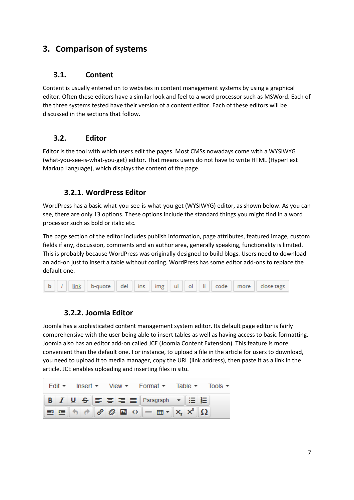# <span id="page-7-1"></span><span id="page-7-0"></span>**3. Comparison of systems**

### **3.1. Content**

Content is usually entered on to websites in content management systems by using a graphical editor. Often these editors have a similar look and feel to a word processor such as MSWord. Each of the three systems tested have their version of a content editor. Each of these editors will be discussed in the sections that follow.

### <span id="page-7-2"></span>**3.2. Editor**

Editor is the tool with which users edit the pages. Most CMSs nowadays come with a WYSIWYG (what-you-see-is-what-you-get) editor. That means users do not have to write HTML (HyperText Markup Language), which displays the content of the page.

### **3.2.1. WordPress Editor**

<span id="page-7-3"></span>WordPress has a basic what-you-see-is-what-you-get (WYSIWYG) editor, as shown below. As you can see, there are only 13 options. These options include the standard things you might find in a word processor such as bold or italic etc.

The page section of the editor includes publish information, page attributes, featured image, custom fields if any, discussion, comments and an author area, generally speaking, functionality is limited. This is probably because WordPress was originally designed to build blogs. Users need to download an add-on just to insert a table without coding. WordPress has some editor add-ons to replace the default one.

<span id="page-7-4"></span>

|  |  |  |  |  |  |  |  |  |  |  |  | $\ $ b $\ $ i $\ $ link $\ $ b-quote $\ $ del $\ $ ins $\ $ img $\ $ ul $\ $ ol $\ $ li $\ $ code $\ $ more $\ $ close tags |
|--|--|--|--|--|--|--|--|--|--|--|--|-----------------------------------------------------------------------------------------------------------------------------|
|--|--|--|--|--|--|--|--|--|--|--|--|-----------------------------------------------------------------------------------------------------------------------------|

### **3.2.2. Joomla Editor**

Joomla has a sophisticated content management system editor. Its default page editor is fairly comprehensive with the user being able to insert tables as well as having access to basic formatting. Joomla also has an editor add-on called JCE (Joomla Content Extension). This feature is more convenient than the default one. For instance, to upload a file in the article for users to download, you need to upload it to media manager, copy the URL (link address), then paste it as a link in the article. JCE enables uploading and inserting files in situ.

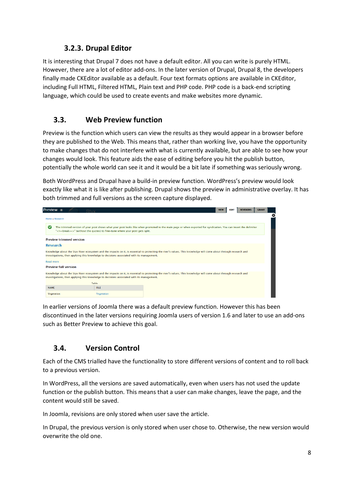### **3.2.3. Drupal Editor**

<span id="page-8-0"></span>It is interesting that Drupal 7 does not have a default editor. All you can write is purely HTML. However, there are a lot of editor add-ons. In the later version of Drupal, Drupal 8, the developers finally made CKEditor available as a default. Four text formats options are available in CKEditor, including Full HTML, Filtered HTML, Plain text and PHP code. PHP code is a back-end scripting language, which could be used to create events and make websites more dynamic.

### <span id="page-8-1"></span>**3.3. Web Preview function**

Preview is the function which users can view the results as they would appear in a browser before they are published to the Web. This means that, rather than working live, you have the opportunity to make changes that do not interfere with what is currently available, but are able to see how your changes would look. This feature aids the ease of editing before you hit the publish button, potentially the whole world can see it and it would be a bit late if something was seriously wrong.

Both WordPress and Drupal have a build-in preview function. WordPress's preview would look exactly like what it is like after publishing. Drupal shows the preview in administrative overlay. It has both trimmed and full versions as the screen capture displayed.

| Preview $\odot$<br>Sty                                                                                                                                                                                                                                          |                                                                                           |                                                                                                                                                                    | <b>VIEW</b> | <b>EDIT</b> | <b>REVISIONS</b> | <b>GRANT</b> |  |
|-----------------------------------------------------------------------------------------------------------------------------------------------------------------------------------------------------------------------------------------------------------------|-------------------------------------------------------------------------------------------|--------------------------------------------------------------------------------------------------------------------------------------------------------------------|-------------|-------------|------------------|--------------|--|
| Home » Research                                                                                                                                                                                                                                                 |                                                                                           |                                                                                                                                                                    |             |             |                  |              |  |
| $\bullet$                                                                                                                                                                                                                                                       | " break " (without the quotes) to fine-tune where your post gets split.                   | The trimmed version of your post shows what your post looks like when promoted to the main page or when exported for syndication. You can insert the delimiter     |             |             |                  |              |  |
| <b>Preview trimmed version</b>                                                                                                                                                                                                                                  |                                                                                           |                                                                                                                                                                    |             |             |                  |              |  |
| <b>Research</b>                                                                                                                                                                                                                                                 |                                                                                           |                                                                                                                                                                    |             |             |                  |              |  |
|                                                                                                                                                                                                                                                                 | investigations, then applying this knowledge to decisions associated with its management. | Knowledge about the Styx River ecosystem and the impacts on it, is essential to protecting the river's values. This knowledge will come about through research and |             |             |                  |              |  |
| <b>Read more</b>                                                                                                                                                                                                                                                |                                                                                           |                                                                                                                                                                    |             |             |                  |              |  |
| <b>Preview full version</b>                                                                                                                                                                                                                                     |                                                                                           |                                                                                                                                                                    |             |             |                  |              |  |
| Knowledge about the Styx River ecosystem and the impacts on it, is essential to protecting the river's values. This knowledge will come about through research and<br>investigations, then applying this knowledge to decisions associated with its management. |                                                                                           |                                                                                                                                                                    |             |             |                  |              |  |
|                                                                                                                                                                                                                                                                 | <b>Table</b>                                                                              |                                                                                                                                                                    |             |             |                  |              |  |
| <b>NAME</b>                                                                                                                                                                                                                                                     | <b>FILE</b>                                                                               |                                                                                                                                                                    |             |             |                  |              |  |
| Vegetation                                                                                                                                                                                                                                                      | Vegetation                                                                                |                                                                                                                                                                    |             |             |                  |              |  |

In earlier versions of Joomla there was a default preview function. However this has been discontinued in the later versions requiring Joomla users of version 1.6 and later to use an add-ons such as Better Preview to achieve this goal.

### <span id="page-8-2"></span>**3.4. Version Control**

Each of the CMS trialled have the functionality to store different versions of content and to roll back to a previous version.

In WordPress, all the versions are saved automatically, even when users has not used the update function or the publish button. This means that a user can make changes, leave the page, and the content would still be saved.

In Joomla, revisions are only stored when user save the article.

In Drupal, the previous version is only stored when user chose to. Otherwise, the new version would overwrite the old one.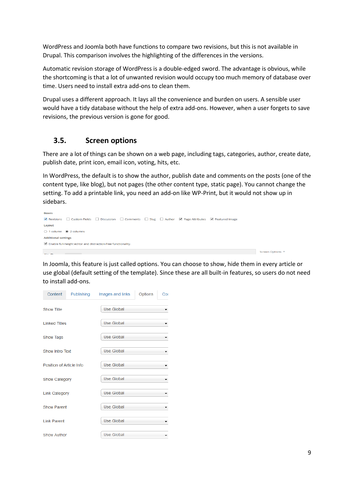WordPress and Joomla both have functions to compare two revisions, but this is not available in Drupal. This comparison involves the highlighting of the differences in the versions.

Automatic revision storage of WordPress is a double-edged sword. The advantage is obvious, while the shortcoming is that a lot of unwanted revision would occupy too much memory of database over time. Users need to install extra add-ons to clean them.

Drupal uses a different approach. It lays all the convenience and burden on users. A sensible user would have a tidy database without the help of extra add-ons. However, when a user forgets to save revisions, the previous version is gone for good.

### <span id="page-9-0"></span>**3.5. Screen options**

There are a lot of things can be shown on a web page, including tags, categories, author, create date, publish date, print icon, email icon, voting, hits, etc.

In WordPress, the default is to show the author, publish date and comments on the posts (one of the content type, like blog), but not pages (the other content type, static page). You cannot change the setting. To add a printable link, you need an add-on like WP-Print, but it would not show up in sidebars.

| <b>Boxes</b>                                                                 |  |  |  |  |  |                                                                                                        |  |                  |
|------------------------------------------------------------------------------|--|--|--|--|--|--------------------------------------------------------------------------------------------------------|--|------------------|
|                                                                              |  |  |  |  |  | ■ Revisions □ Custom Fields □ Discussion □ Comments □ Slug □ Author ■ Page Attributes ■ Featured Image |  |                  |
| Layout                                                                       |  |  |  |  |  |                                                                                                        |  |                  |
| $\bigcirc$ 1 column $\bigcirc$ 2 columns                                     |  |  |  |  |  |                                                                                                        |  |                  |
| <b>Additional settings</b>                                                   |  |  |  |  |  |                                                                                                        |  |                  |
| $\blacksquare$ Enable full-height editor and distraction-free functionality. |  |  |  |  |  |                                                                                                        |  |                  |
|                                                                              |  |  |  |  |  |                                                                                                        |  | Screen Options A |

In Joomla, this feature is just called options. You can choose to show, hide them in every article or use global (default setting of the template). Since these are all built-in features, so users do not need to install add-ons.

| Content                  | Publishing | Images and links  | Options | Cor |  |  |  |  |  |  |
|--------------------------|------------|-------------------|---------|-----|--|--|--|--|--|--|
| <b>Show Title</b>        |            | <b>Use Global</b> |         |     |  |  |  |  |  |  |
| <b>Linked Titles</b>     |            | <b>Use Global</b> |         |     |  |  |  |  |  |  |
| <b>Show Tags</b>         |            | <b>Use Global</b> |         |     |  |  |  |  |  |  |
| Show Intro Text          |            | <b>Use Global</b> |         |     |  |  |  |  |  |  |
| Position of Article Info |            | <b>Use Global</b> |         |     |  |  |  |  |  |  |
| <b>Show Category</b>     |            | <b>Use Global</b> |         |     |  |  |  |  |  |  |
| <b>Link Category</b>     |            | <b>Use Global</b> |         |     |  |  |  |  |  |  |
| <b>Show Parent</b>       |            | <b>Use Global</b> |         |     |  |  |  |  |  |  |
| <b>Link Parent</b>       |            | <b>Use Global</b> |         |     |  |  |  |  |  |  |
| <b>Show Author</b>       |            | <b>Use Global</b> |         |     |  |  |  |  |  |  |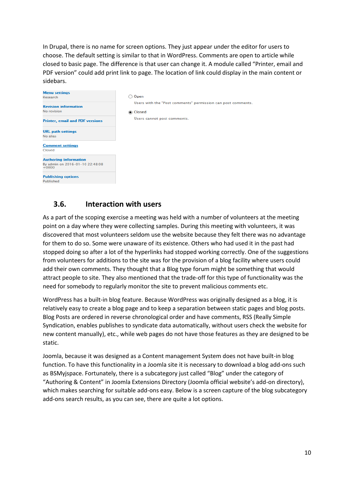In Drupal, there is no name for screen options. They just appear under the editor for users to choose. The default setting is similar to that in WordPress. Comments are open to article while closed to basic page. The difference is that user can change it. A module called "Printer, email and PDF version" could add print link to page. The location of link could display in the main content or sidebars.



### <span id="page-10-0"></span>**3.6. Interaction with users**

As a part of the scoping exercise a meeting was held with a number of volunteers at the meeting point on a day where they were collecting samples. During this meeting with volunteers, it was discovered that most volunteers seldom use the website because they felt there was no advantage for them to do so. Some were unaware of its existence. Others who had used it in the past had stopped doing so after a lot of the hyperlinks had stopped working correctly. One of the suggestions from volunteers for additions to the site was for the provision of a blog facility where users could add their own comments. They thought that a Blog type forum might be something that would attract people to site. They also mentioned that the trade-off for this type of functionality was the need for somebody to regularly monitor the site to prevent malicious comments etc.

WordPress has a built-in blog feature. Because WordPress was originally designed as a blog, it is relatively easy to create a blog page and to keep a separation between static pages and blog posts. Blog Posts are ordered in reverse chronological order and have comments, RSS (Really Simple Syndication, enables publishes to syndicate data automatically, without users check the website for new content manually), etc., while web pages do not have those features as they are designed to be static.

Joomla, because it was designed as a Content management System does not have built-in blog function. To have this functionality in a Joomla site it is necessary to download a blog add-ons such as BSMyjspace. Fortunately, there is a subcategory just called "Blog" under the category of "Authoring & Content" in Joomla Extensions Directory (Joomla official website's add-on directory), which makes searching for suitable add-ons easy. Below is a screen capture of the blog subcategory add-ons search results, as you can see, there are quite a lot options.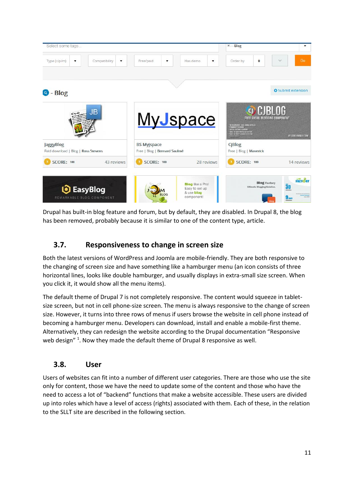

Drupal has built-in blog feature and forum, but by default, they are disabled. In Drupal 8, the blog has been removed, probably because it is similar to one of the content type, article.

### <span id="page-11-0"></span>**3.7. Responsiveness to change in screen size**

Both the latest versions of WordPress and Joomla are mobile-friendly. They are both responsive to the changing of screen size and have something like a hamburger menu (an icon consists of three horizontal lines, looks like double hamburger, and usually displays in extra-small size screen. When you click it, it would show all the menu items).

The default theme of Drupal 7 is not completely responsive. The content would squeeze in tabletsize screen, but not in cell phone-size screen. The menu is always responsive to the change of screen size. However, it turns into three rows of menus if users browse the website in cell phone instead of becoming a hamburger menu. Developers can download, install and enable a mobile-first theme. Alternatively, they can redesign the website according to the Drupal documentation "Responsive web design"<sup>1</sup>. Now they made the default theme of Drupal 8 responsive as well.

### <span id="page-11-1"></span>**3.8. User**

Users of websites can fit into a number of different user categories. There are those who use the site only for content, those we have the need to update some of the content and those who have the need to access a lot of "backend" functions that make a website accessible. These users are divided up into roles which have a level of access (rights) associated with them. Each of these, in the relation to the SLLT site are described in the following section.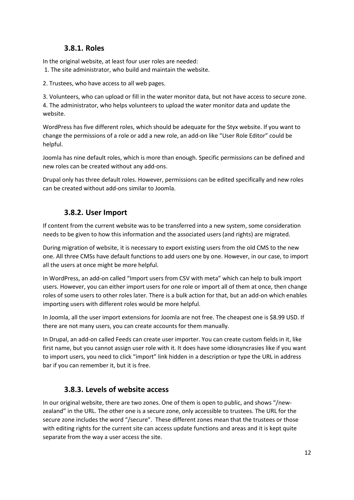### **3.8.1. Roles**

<span id="page-12-0"></span>In the original website, at least four user roles are needed:

1. The site administrator, who build and maintain the website.

2. Trustees, who have access to all web pages.

3. Volunteers, who can upload or fill in the water monitor data, but not have access to secure zone. 4. The administrator, who helps volunteers to upload the water monitor data and update the website.

WordPress has five different roles, which should be adequate for the Styx website. If you want to change the permissions of a role or add a new role, an add-on like "User Role Editor" could be helpful.

Joomla has nine default roles, which is more than enough. Specific permissions can be defined and new roles can be created without any add-ons.

<span id="page-12-1"></span>Drupal only has three default roles. However, permissions can be edited specifically and new roles can be created without add-ons similar to Joomla.

### **3.8.2. User Import**

If content from the current website was to be transferred into a new system, some consideration needs to be given to how this information and the associated users (and rights) are migrated.

During migration of website, it is necessary to export existing users from the old CMS to the new one. All three CMSs have default functions to add users one by one. However, in our case, to import all the users at once might be more helpful.

In WordPress, an add-on called "Import users from CSV with meta" which can help to bulk import users. However, you can either import users for one role or import all of them at once, then change roles of some users to other roles later. There is a bulk action for that, but an add-on which enables importing users with different roles would be more helpful.

In Joomla, all the user import extensions for Joomla are not free. The cheapest one is \$8.99 USD. If there are not many users, you can create accounts for them manually.

In Drupal, an add-on called Feeds can create user importer. You can create custom fields in it, like first name, but you cannot assign user role with it. It does have some idiosyncrasies like if you want to import users, you need to click "import" link hidden in a description or type the URL in address bar if you can remember it, but it is free.

### **3.8.3. Levels of website access**

<span id="page-12-2"></span>In our original website, there are two zones. One of them is open to public, and shows "/newzealand" in the URL. The other one is a secure zone, only accessible to trustees. The URL for the secure zone includes the word "/secure". These different zones mean that the trustees or those with editing rights for the current site can access update functions and areas and it is kept quite separate from the way a user access the site.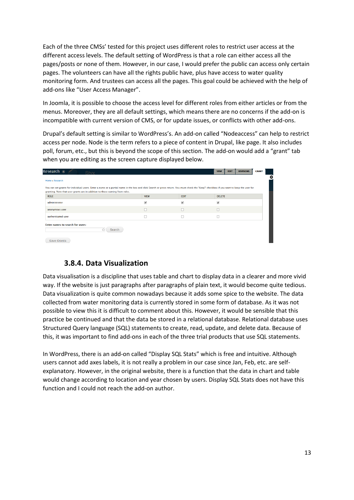Each of the three CMSs' tested for this project uses different roles to restrict user access at the different access levels. The default setting of WordPress is that a role can either access all the pages/posts or none of them. However, in our case, I would prefer the public can access only certain pages. The volunteers can have all the rights public have, plus have access to water quality monitoring form. And trustees can access all the pages. This goal could be achieved with the help of add-ons like "User Access Manager".

In Joomla, it is possible to choose the access level for different roles from either articles or from the menus. Moreover, they are all default settings, which means there are no concerns if the add-on is incompatible with current version of CMS, or for update issues, or conflicts with other add-ons.

Drupal's default setting is similar to WordPress's. An add-on called "Nodeaccess" can help to restrict access per node. Node is the term refers to a piece of content in Drupal, like page. It also includes poll, forum, etc., but this is beyond the scope of this section. The add-on would add a "grant" tab when you are editing as the screen capture displayed below.

| Research o<br><b>Chry</b>                                                                                                                                                                                                                                                |             |             | <b>VIEW</b><br><b>EDIT</b><br><b>REVISIONS</b> | <b>GRANT</b> |  |  |  |  |  |
|--------------------------------------------------------------------------------------------------------------------------------------------------------------------------------------------------------------------------------------------------------------------------|-------------|-------------|------------------------------------------------|--------------|--|--|--|--|--|
| Home » Research                                                                                                                                                                                                                                                          |             |             |                                                |              |  |  |  |  |  |
| You can set grants for individual users. Enter a name or a partial name in the box and click Search or press return. You must check the 'Keep?' checkbox if you want to keep the user for<br>granting. Note that user grants are in addition to those coming from roles. |             |             |                                                |              |  |  |  |  |  |
| <b>ROLE</b>                                                                                                                                                                                                                                                              | <b>VIEW</b> | <b>EDIT</b> | <b>DELETE</b>                                  |              |  |  |  |  |  |
| administrator                                                                                                                                                                                                                                                            | ⊽           | ⊽           | $\overline{\mathbf{v}}$                        |              |  |  |  |  |  |
| anonymous user                                                                                                                                                                                                                                                           | г           | г           | П                                              |              |  |  |  |  |  |
| authenticated user                                                                                                                                                                                                                                                       |             |             |                                                |              |  |  |  |  |  |
| <b>Enter names to search for users:</b><br><b>Search</b><br>Save Grants                                                                                                                                                                                                  |             |             |                                                |              |  |  |  |  |  |

### **3.8.4. Data Visualization**

<span id="page-13-0"></span>Data visualisation is a discipline that uses table and chart to display data in a clearer and more vivid way. If the website is just paragraphs after paragraphs of plain text, it would become quite tedious. Data visualization is quite common nowadays because it adds some spice to the website. The data collected from water monitoring data is currently stored in some form of database. As it was not possible to view this it is difficult to comment about this. However, it would be sensible that this practice be continued and that the data be stored in a relational database. Relational database uses Structured Query language (SQL) statements to create, read, update, and delete data. Because of this, it was important to find add-ons in each of the three trial products that use SQL statements.

In WordPress, there is an add-on called "Display SQL Stats" which is free and intuitive. Although users cannot add axes labels, it is not really a problem in our case since Jan, Feb, etc. are selfexplanatory. However, in the original website, there is a function that the data in chart and table would change according to location and year chosen by users. Display SQL Stats does not have this function and I could not reach the add-on author.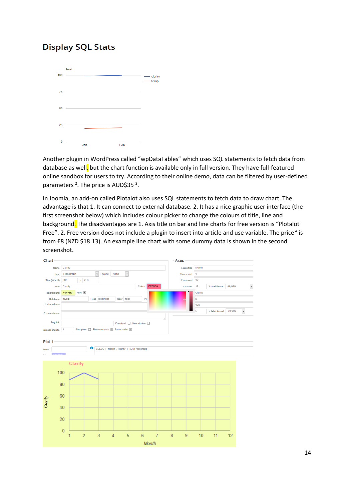### **Display SQL Stats**



Another plugin in WordPress called "wpDataTables" which uses SQL statements to fetch data from database as well, but the chart function is available only in full version. They have full-featured online sandbox for users to try. According to their online demo, data can be filtered by user-defined parameters<sup>2</sup>. The price is AUD\$35<sup>3</sup>.

In Joomla, an add-on called Plotalot also uses SQL statements to fetch data to draw chart. The advantage is that 1. It can connect to external database. 2. It has a nice graphic user interface (the first screenshot below) which includes colour picker to change the colours of title, line and background. The disadvantages are 1. Axis title on bar and line charts for free version is "Plotalot Free". 2. Free version does not include a plugin to insert into article and use variable. The price<sup>4</sup> is from £8 (NZD \$18.13). An example line chart with some dummy data is shown in the second screenshot.

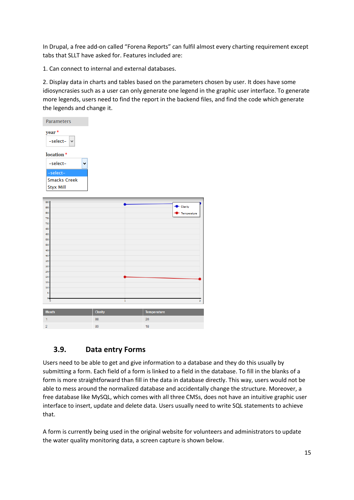In Drupal, a free add-on called "Forena Reports" can fulfil almost every charting requirement except tabs that SLLT have asked for. Features included are:

1. Can connect to internal and external databases.

2. Display data in charts and tables based on the parameters chosen by user. It does have some idiosyncrasies such as a user can only generate one legend in the graphic user interface. To generate more legends, users need to find the report in the backend files, and find the code which generate the legends and change it.

| <b>Parameters</b>                                   |                         |   |  |  |   |  |  |  |                   |
|-----------------------------------------------------|-------------------------|---|--|--|---|--|--|--|-------------------|
| year*<br>-select-                                   | $\overline{\mathbf{v}}$ |   |  |  |   |  |  |  |                   |
| location*                                           |                         |   |  |  |   |  |  |  |                   |
| -select-                                            |                         | ٠ |  |  |   |  |  |  |                   |
| -select-<br><b>Smacks Creek</b><br><b>Styx Mill</b> |                         |   |  |  |   |  |  |  |                   |
| 90                                                  |                         |   |  |  |   |  |  |  |                   |
| 85                                                  |                         |   |  |  |   |  |  |  | $\bullet$ Clarity |
| 80                                                  |                         |   |  |  |   |  |  |  | Temper            |
| 75 <sub>1</sub>                                     |                         |   |  |  |   |  |  |  |                   |
| 70 <sub>1</sub>                                     |                         |   |  |  |   |  |  |  |                   |
| $65 -$<br>60-                                       |                         |   |  |  |   |  |  |  |                   |
| $55-$                                               |                         |   |  |  |   |  |  |  |                   |
| $50-$                                               |                         |   |  |  |   |  |  |  |                   |
| $45 -$                                              |                         |   |  |  |   |  |  |  |                   |
| 40 <sup>°</sup>                                     |                         |   |  |  |   |  |  |  |                   |
| 35 <sub>1</sub>                                     |                         |   |  |  |   |  |  |  |                   |
| 30 <sub>1</sub>                                     |                         |   |  |  |   |  |  |  |                   |
| $25 -$                                              |                         |   |  |  |   |  |  |  |                   |
| 20 <sub>1</sub><br>15 <sub>1</sub>                  |                         |   |  |  |   |  |  |  |                   |
| 10 <sub>1</sub>                                     |                         |   |  |  |   |  |  |  |                   |
| 5 <sub>1</sub>                                      |                         |   |  |  |   |  |  |  |                   |
| 어                                                   |                         |   |  |  | i |  |  |  |                   |
|                                                     |                         |   |  |  |   |  |  |  |                   |
|                                                     |                         |   |  |  |   |  |  |  |                   |

| <b>Month</b> | <b>Clarity</b> | Temperature |
|--------------|----------------|-------------|
|              | 88             | 20          |
|              | 89             | 18          |
|              |                |             |

### <span id="page-15-0"></span>**3.9. Data entry Forms**

Users need to be able to get and give information to a database and they do this usually by submitting a form. Each field of a form is linked to a field in the database. To fill in the blanks of a form is more straightforward than fill in the data in database directly. This way, users would not be able to mess around the normalized database and accidentally change the structure. Moreover, a free database like MySQL, which comes with all three CMSs, does not have an intuitive graphic user interface to insert, update and delete data. Users usually need to write SQL statements to achieve that.

A form is currently being used in the original website for volunteers and administrators to update the water quality monitoring data, a screen capture is shown below.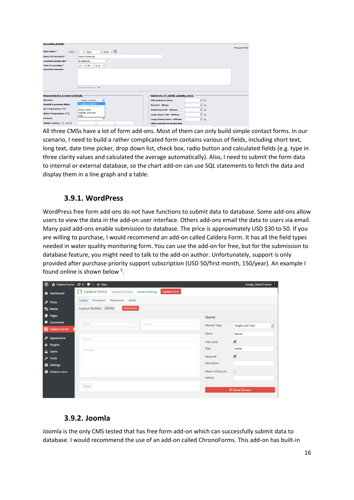| <b>Recording Details</b>                  |                                                   |                                                 |               |                   |
|-------------------------------------------|---------------------------------------------------|-------------------------------------------------|---------------|-------------------|
|                                           |                                                   |                                                 |               | * Required fields |
| Date taken: *<br>Today?                   | $\vee$ 2004 $\vee$<br>April<br>и.<br>$\checkmark$ |                                                 |               |                   |
| Name (of recorder): *                     | <b>Steve Holdoway</b>                             |                                                 |               |                   |
| Location/sample site: *                   | <b>Brooklands</b><br>$\checkmark$                 |                                                 |               |                   |
| Time of recording: *                      | $12 \times : 00 \times \text{a.m.} \times$        |                                                 |               |                   |
| <b>General Comments</b>                   |                                                   |                                                 |               |                   |
|                                           |                                                   |                                                 |               |                   |
|                                           |                                                   |                                                 |               |                   |
|                                           |                                                   |                                                 |               |                   |
|                                           | Characters remaining: 2000                        |                                                 |               |                   |
|                                           |                                                   |                                                 |               |                   |
| <b>Measurements &amp; General Details</b> |                                                   | Substrate (% within sampling area)              |               |                   |
| <b>Weather:</b>                           | > Select weather < v                              | Silt/sand up to 2mm:                            | $\div$ %      |                   |
| <b>Rainfall in previous 48hrs:</b>        | Select weather <                                  | Gravel 2 - 60mm:                                | ÷<br>%        |                   |
| Air Temperature (°C):                     | ------------------------<br><b>Heavy cloud</b>    | Small stones 60 - 120mm:                        | $\div$<br>%   |                   |
| Water Temperature (°C):                   | Slightly overcast                                 |                                                 | H             |                   |
| <b>PH level:</b>                          | Fine<br>6                                         | Large stones 120 - 250mm:                       | $\frac{9}{6}$ |                   |
|                                           |                                                   | Large stones/rocks > 250mm:                     | $\div$ %      |                   |
| Clarity: (readings 1, 2, 3 in cm)         |                                                   | Other material on stream bed:<br><b>ANTER M</b> |               |                   |

All three CMSs have a lot of form add-ons. Most of them can only build simple contact forms. In our scenario, I need to build a rather complicated form contains various of fields, including short text, long text, date time picker, drop down list, check box, radio button and calculated fields (e.g. type in three clarity values and calculated the average automatically). Also, I need to submit the form data to internal or external database, so the chart add-on can use SQL statements to fetch the data and display them in a line graph and a table.

### **3.9.1. WordPress**

<span id="page-16-0"></span>WordPress free form add-ons do not have functions to submit data to database. Some add-ons allow users to view the data in the add-on user interface. Others add-ons email the data to users via email. Many paid add-ons enable submission to database. The price is approximately USD \$30 to 50. If you are willing to purchase, I would recommend an add-on called Caldera Form. It has all the field types needed in water quality monitoring form. You can use the add-on for free, but for the submission to database feature, you might need to talk to the add-on author. Unfortunately, support is only provided after purchase priority support subscription (USD 50/first month, 150/year). An example I found online is shown below <sup>5</sup>.

| $\omega$ |                        | 舎 Caldera Forms O 5 ♥ 0 + New<br>Howdy, David Cramer &                   |                    |                       |  |  |  |
|----------|------------------------|--------------------------------------------------------------------------|--------------------|-----------------------|--|--|--|
|          | <b>2</b> Dashboard     | [7] Caldera Forms Compact Contact General Settings<br><b>Update Form</b> |                    |                       |  |  |  |
|          | <b>★</b> Posts         | Layout Processors Responsive Mailer                                      |                    |                       |  |  |  |
|          | 9 <sub>1</sub> Media   | Layout Builder Add Row<br><b>Add Element</b>                             |                    |                       |  |  |  |
|          | <b>B</b> Pages         |                                                                          | Name               |                       |  |  |  |
|          | Comments               | Email<br>Name                                                            | Element Type       | Single Line Text<br>₫ |  |  |  |
|          | Caldera Forms          |                                                                          | Name               | Name                  |  |  |  |
|          | Appearance             | Subject                                                                  |                    |                       |  |  |  |
|          | <b>E</b> Plugins       |                                                                          | Hide Label         | ₫                     |  |  |  |
|          | & Users                | Message                                                                  | Slug               | name                  |  |  |  |
|          | $\frac{1}{2}$ Tools    |                                                                          | Required           | ⊌                     |  |  |  |
|          | <b>EB</b> Settings     |                                                                          | Description        |                       |  |  |  |
|          | <b>O</b> Collapse menu |                                                                          | Show in Entry List | $\Box$                |  |  |  |
|          |                        |                                                                          | Default            |                       |  |  |  |
|          |                        | Send                                                                     |                    |                       |  |  |  |
|          |                        | <b>O</b> Delete Element                                                  |                    |                       |  |  |  |

### **3.9.2. Joomla**

<span id="page-16-1"></span>Joomla is the only CMS tested that has free form add-on which can successfully submit data to database. I would recommend the use of an add-on called ChronoForms. This add-on has built-in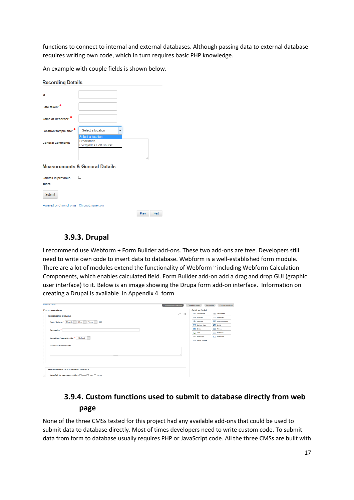functions to connect to internal and external databases. Although passing data to external database requires writing own code, which in turn requires basic PHP knowledge.

An example with couple fields is shown below.

| <b>Recording Details</b>                  |                                                                         |   |      |             |
|-------------------------------------------|-------------------------------------------------------------------------|---|------|-------------|
| id                                        |                                                                         |   |      |             |
| Date taken:                               |                                                                         |   |      |             |
| Name of Recorder:                         |                                                                         |   |      |             |
| Location/sample site:                     | Select a location                                                       | ٧ |      |             |
| <b>General Comments</b>                   | Select a location<br><b>Brooklands</b><br><b>Everglades Golf Course</b> |   |      |             |
|                                           |                                                                         |   | Æ    |             |
|                                           | <b>Measurements &amp; General Details</b>                               |   |      |             |
| <b>Rainfall in previous</b>               |                                                                         |   |      |             |
| 48hrs                                     |                                                                         |   |      |             |
| Submit                                    |                                                                         |   |      |             |
| Powered by ChronoForms - ChronoEngine.com |                                                                         |   |      |             |
|                                           |                                                                         |   | Prev | <b>Next</b> |

### **3.9.3. Drupal**

<span id="page-17-0"></span>I recommend use Webform + Form Builder add-ons. These two add-ons are free. Developers still need to write own code to insert data to database. Webform is a well-established form module. There are a lot of modules extend the functionality of Webform <sup>6</sup> including Webform Calculation Components, which enables calculated field. Form Builder add-on add a drag and drop GUI (graphic user interface) to it. Below is an image showing the Drupa form add-on interface. Information on creating a Drupal is available in Appendix 4. form

| <b>Home » Form</b><br><b>Form components</b> | $E$ -mails<br><b>Conditionals</b> | <b>Form settings</b> |
|----------------------------------------------|-----------------------------------|----------------------|
| <b>Form preview</b>                          | Add a field                       |                      |
| .<br>$\times$<br>P                           | [ab] Textfield                    | <b>Fextarea</b>      |
| <b>RECORDING DETAILS</b>                     | [c] E-mail                        | [12] Number          |
| Date Taken * Month v Day v Year v III        | (a) Radios                        | Checkboxes           |
|                                              | <b>Ell</b> Select list            | <b>ETT</b> Grid      |
| Recorder *                                   | <b>Date</b>                       | ten Time             |
|                                              | <b>Experience</b>                 | Hidden               |
| Location/sample site $*$ - Select - $\vee$   | ou> Markup                        | Fieldset             |
|                                              | - Page break                      |                      |
| <b>General Comments</b>                      |                                   |                      |
|                                              |                                   |                      |
|                                              |                                   |                      |
|                                              |                                   |                      |
|                                              |                                   |                      |
|                                              |                                   |                      |
| <b>MEASUREMENTS &amp; GENERAL DETAILS</b>    |                                   |                      |
|                                              |                                   |                      |
| Rainfall in previous 48hrs one two three     |                                   |                      |

### <span id="page-17-1"></span>**3.9.4. Custom functions used to submit to database directly from web page**

None of the three CMSs tested for this project had any available add-ons that could be used to submit data to database directly. Most of times developers need to write custom code. To submit data from form to database usually requires PHP or JavaScript code. All the three CMSs are built with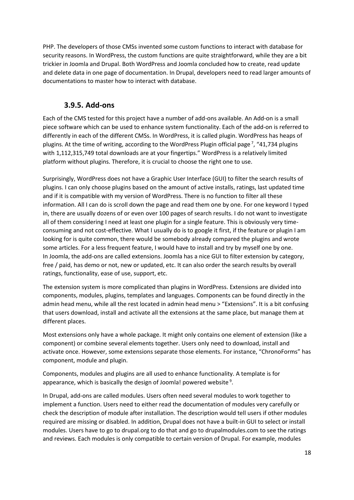PHP. The developers of those CMSs invented some custom functions to interact with database for security reasons. In WordPress, the custom functions are quite straightforward, while they are a bit trickier in Joomla and Drupal. Both WordPress and Joomla concluded how to create, read update and delete data in one page of documentation. In Drupal, developers need to read larger amounts of documentations to master how to interact with database.

### **3.9.5. Add-ons**

<span id="page-18-0"></span>Each of the CMS tested for this project have a number of add-ons available. An Add-on is a small piece software which can be used to enhance system functionality. Each of the add-on is referred to differently in each of the different CMSs. In WordPress, it is called plugin. WordPress has heaps of plugins. At the time of writing, according to the WordPress Plugin official page<sup>7</sup>, "41,734 plugins with 1,112,315,749 total downloads are at your fingertips." WordPress is a relatively limited platform without plugins. Therefore, it is crucial to choose the right one to use.

Surprisingly, WordPress does not have a Graphic User Interface (GUI) to filter the search results of plugins. I can only choose plugins based on the amount of active installs, ratings, last updated time and if it is compatible with my version of WordPress. There is no function to filter all these information. All I can do is scroll down the page and read them one by one. For one keyword I typed in, there are usually dozens of or even over 100 pages of search results. I do not want to investigate all of them considering I need at least one plugin for a single feature. This is obviously very timeconsuming and not cost-effective. What I usually do is to google it first, if the feature or plugin I am looking for is quite common, there would be somebody already compared the plugins and wrote some articles. For a less frequent feature, I would have to install and try by myself one by one. In Joomla, the add-ons are called extensions. Joomla has a nice GUI to filter extension by category, free / paid, has demo or not, new or updated, etc. It can also order the search results by overall ratings, functionality, ease of use, support, etc.

The extension system is more complicated than plugins in WordPress. Extensions are divided into components, modules, plugins, templates and languages. Components can be found directly in the admin head menu, while all the rest located in admin head menu > "Extensions". It is a bit confusing that users download, install and activate all the extensions at the same place, but manage them at different places.

Most extensions only have a whole package. It might only contains one element of extension (like a component) or combine several elements together. Users only need to download, install and activate once. However, some extensions separate those elements. For instance, "ChronoForms" has component, module and plugin.

Components, modules and plugins are all used to enhance functionality. A template is for appearance, which is basically the design of Joomla! powered website<sup>9</sup>.

In Drupal, add-ons are called modules. Users often need several modules to work together to implement a function. Users need to either read the documentation of modules very carefully or check the description of module after installation. The description would tell users if other modules required are missing or disabled. In addition, Drupal does not have a built-in GUI to select or install modules. Users have to go to drupal.org to do that and go to drupalmodules.com to see the ratings and reviews. Each modules is only compatible to certain version of Drupal. For example, modules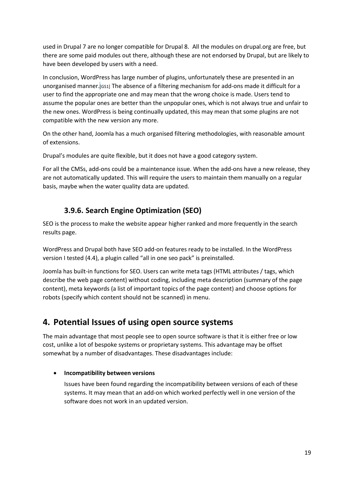used in Drupal 7 are no longer compatible for Drupal 8. All the modules on drupal.org are free, but there are some paid modules out there, although these are not endorsed by Drupal, but are likely to have been developed by users with a need.

In conclusion, WordPress has large number of plugins, unfortunately these are presented in an unorganised manner.[GS1] The absence of a filtering mechanism for add-ons made it difficult for a user to find the appropriate one and may mean that the wrong choice is made. Users tend to assume the popular ones are better than the unpopular ones, which is not always true and unfair to the new ones. WordPress is being continually updated, this may mean that some plugins are not compatible with the new version any more.

On the other hand, Joomla has a much organised filtering methodologies, with reasonable amount of extensions.

Drupal's modules are quite flexible, but it does not have a good category system.

For all the CMSs, add-ons could be a maintenance issue. When the add-ons have a new release, they are not automatically updated. This will require the users to maintain them manually on a regular basis, maybe when the water quality data are updated.

### **3.9.6. Search Engine Optimization (SEO)**

<span id="page-19-0"></span>SEO is the process to make the website appear higher ranked and more frequently in the search results page.

WordPress and Drupal both have SEO add-on features ready to be installed. In the WordPress version I tested (4.4), a plugin called "all in one seo pack" is preinstalled.

Joomla has built-in functions for SEO. Users can write meta tags (HTML attributes / tags, which describe the web page content) without coding, including meta description (summary of the page content), meta keywords (a list of important topics of the page content) and choose options for robots (specify which content should not be scanned) in menu.

### <span id="page-19-1"></span>**4. Potential Issues of using open source systems**

The main advantage that most people see to open source software is that it is either free or low cost, unlike a lot of bespoke systems or proprietary systems. This advantage may be offset somewhat by a number of disadvantages. These disadvantages include:

#### **Incompatibility between versions**

Issues have been found regarding the incompatibility between versions of each of these systems. It may mean that an add-on which worked perfectly well in one version of the software does not work in an updated version.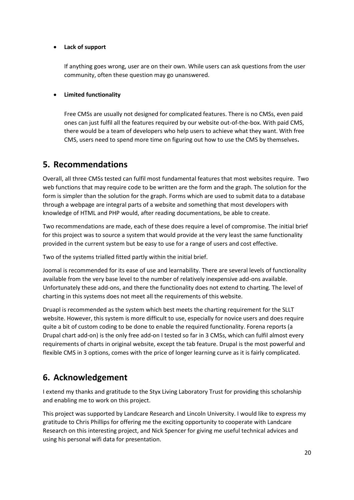#### **Lack of support**

If anything goes wrong, user are on their own. While users can ask questions from the user community, often these question may go unanswered.

#### **Limited functionality**

Free CMSs are usually not designed for complicated features. There is no CMSs, even paid ones can just fulfil all the features required by our website out-of-the-box. With paid CMS, there would be a team of developers who help users to achieve what they want. With free CMS, users need to spend more time on figuring out how to use the CMS by themselves**.**

### <span id="page-20-0"></span>**5. Recommendations**

Overall, all three CMSs tested can fulfil most fundamental features that most websites require. Two web functions that may require code to be written are the form and the graph. The solution for the form is simpler than the solution for the graph. Forms which are used to submit data to a database through a webpage are integral parts of a website and something that most developers with knowledge of HTML and PHP would, after reading documentations, be able to create.

Two recommendations are made, each of these does require a level of compromise. The initial brief for this project was to source a system that would provide at the very least the same functionality provided in the current system but be easy to use for a range of users and cost effective.

Two of the systems trialled fitted partly within the initial brief.

Joomal is recommended for its ease of use and learnability. There are several levels of functionality available from the very base level to the number of relatively inexpensive add-ons available. Unfortunately these add-ons, and there the functionality does not extend to charting. The level of charting in this systems does not meet all the requirements of this website.

Druapl is recommended as the system which best meets the charting requirement for the SLLT website. However, this system is more difficult to use, especially for novice users and does require quite a bit of custom coding to be done to enable the required functionality. Forena reports (a Drupal chart add-on) is the only free add-on I tested so far in 3 CMSs, which can fulfil almost every requirements of charts in original website, except the tab feature. Drupal is the most powerful and flexible CMS in 3 options, comes with the price of longer learning curve as it is fairly complicated.

### <span id="page-20-1"></span>**6. Acknowledgement**

I extend my thanks and gratitude to the Styx Living Laboratory Trust for providing this scholarship and enabling me to work on this project.

This project was supported by Landcare Research and Lincoln University. I would like to express my gratitude to Chris Phillips for offering me the exciting opportunity to cooperate with Landcare Research on this interesting project, and Nick Spencer for giving me useful technical advices and using his personal wifi data for presentation.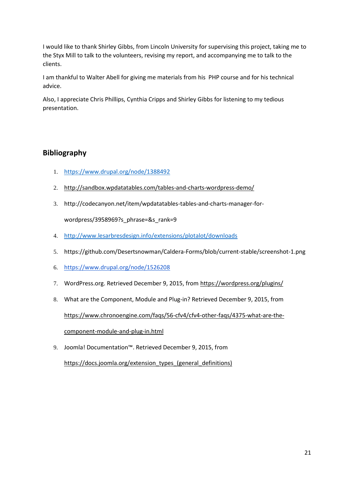I would like to thank Shirley Gibbs, from Lincoln University for supervising this project, taking me to the Styx Mill to talk to the volunteers, revising my report, and accompanying me to talk to the clients.

I am thankful to Walter Abell for giving me materials from his PHP course and for his technical advice.

Also, I appreciate Chris Phillips, Cynthia Cripps and Shirley Gibbs for listening to my tedious presentation.

### <span id="page-21-0"></span>**Bibliography**

- 1. <https://www.drupal.org/node/1388492>
- 2. <http://sandbox.wpdatatables.com/tables-and-charts-wordpress-demo/>
- 3. http://codecanyon.net/item/wpdatatables-tables-and-charts-manager-forwordpress/3958969?s\_phrase=&s\_rank=9
- 4. <http://www.lesarbresdesign.info/extensions/plotalot/downloads>
- 5. https://github.com/Desertsnowman/Caldera-Forms/blob/current-stable/screenshot-1.png
- 6. <https://www.drupal.org/node/1526208>
- 7. WordPress.org. Retrieved December 9, 2015, fro[m https://wordpress.org/plugins/](https://wordpress.org/plugins/)
- 8. What are the Component, Module and Plug-in? Retrieved December 9, 2015, from [https://www.chronoengine.com/faqs/56-cfv4/cfv4-other-faqs/4375-what-are-the](https://www.chronoengine.com/faqs/56-cfv4/cfv4-other-faqs/4375-what-are-the-component-module-and-plug-in.html)[component-module-and-plug-in.html](https://www.chronoengine.com/faqs/56-cfv4/cfv4-other-faqs/4375-what-are-the-component-module-and-plug-in.html)
- 9. Joomla! Documentation™. Retrieved December 9, 2015, from [https://docs.joomla.org/extension\\_types\\_\(general\\_definitions\)](https://docs.joomla.org/extension_types_(general_definitions))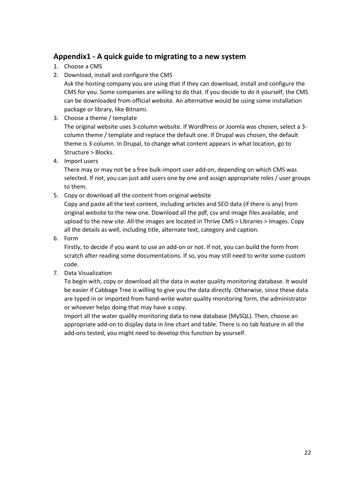### **Appendix1 - A quick guide to migrating to a new system**

- 1. Choose a CMS
- 2. Download, install and configure the CMS

Ask the hosting company you are using that if they can download, install and configure the CMS for you. Some companies are willing to do that. If you decide to do it yourself, the CMS can be downloaded from official website. An alternative would be using some installation package or library, like Bitnami.

3. Choose a theme / template

The original website uses 3-column website. If WordPress or Joomla was chosen, select a 3 column theme / template and replace the default one. If Drupal was chosen, the default theme is 3-column. In Drupal, to change what content appears in what location, go to Structure > Blocks.

4. Import users

There may or may not be a free bulk-import user add-on, depending on which CMS was selected. If not, you can just add users one by one and assign appropriate roles / user groups to them.

- 5. Copy or download all the content from original website Copy and paste all the text content, including articles and SEO data (if there is any) from original website to the new one. Download all the pdf, csv and image files available, and upload to the new site. All the images are located in Thrive CMS > Libraries > Images. Copy all the details as well, including title, alternate text, category and caption.
- 6. Form

Firstly, to decide if you want to use an add-on or not. If not, you can build the form from scratch after reading some documentations. If so, you may still need to write some custom code.

7. Data Visualization

To begin with, copy or download all the data in water quality monitoring database. It would be easier if Cabbage Tree is willing to give you the data directly. Otherwise, since these data are typed in or imported from hand-write water quality monitoring form, the administrator or whoever helps doing that may have a copy.

Import all the water quality monitoring data to new database (MySQL). Then, choose an appropriate add-on to display data in line chart and table. There is no tab feature in all the add-ons tested, you might need to develop this function by yourself.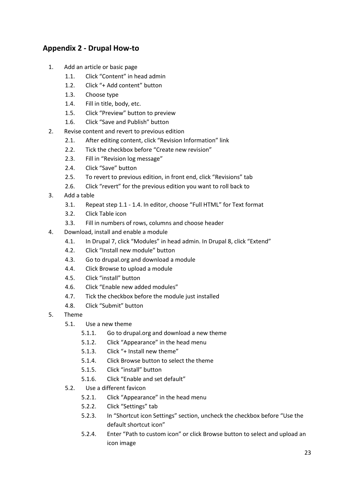### **Appendix 2 - Drupal How-to**

- 1. Add an article or basic page
	- 1.1. Click "Content" in head admin
	- 1.2. Click "+ Add content" button
	- 1.3. Choose type
	- 1.4. Fill in title, body, etc.
	- 1.5. Click "Preview" button to preview
	- 1.6. Click "Save and Publish" button
- 2. Revise content and revert to previous edition
	- 2.1. After editing content, click "Revision Information" link
	- 2.2. Tick the checkbox before "Create new revision"
	- 2.3. Fill in "Revision log message"
	- 2.4. Click "Save" button
	- 2.5. To revert to previous edition, in front end, click "Revisions" tab
	- 2.6. Click "revert" for the previous edition you want to roll back to
- 3. Add a table
	- 3.1. Repeat step 1.1 1.4. In editor, choose "Full HTML" for Text format
	- 3.2. Click Table icon
	- 3.3. Fill in numbers of rows, columns and choose header
- 4. Download, install and enable a module
	- 4.1. In Drupal 7, click "Modules" in head admin. In Drupal 8, click "Extend"
	- 4.2. Click "Install new module" button
	- 4.3. Go to drupal.org and download a module
	- 4.4. Click Browse to upload a module
	- 4.5. Click "install" button
	- 4.6. Click "Enable new added modules"
	- 4.7. Tick the checkbox before the module just installed
	- 4.8. Click "Submit" button
- 5. Theme
	- 5.1. Use a new theme
		- 5.1.1. Go to drupal.org and download a new theme
		- 5.1.2. Click "Appearance" in the head menu
		- 5.1.3. Click "+ Install new theme"
		- 5.1.4. Click Browse button to select the theme
		- 5.1.5. Click "install" button
		- 5.1.6. Click "Enable and set default"
	- 5.2. Use a different favicon
		- 5.2.1. Click "Appearance" in the head menu
		- 5.2.2. Click "Settings" tab
		- 5.2.3. In "Shortcut icon Settings" section, uncheck the checkbox before "Use the default shortcut icon"
		- 5.2.4. Enter "Path to custom icon" or click Browse button to select and upload an icon image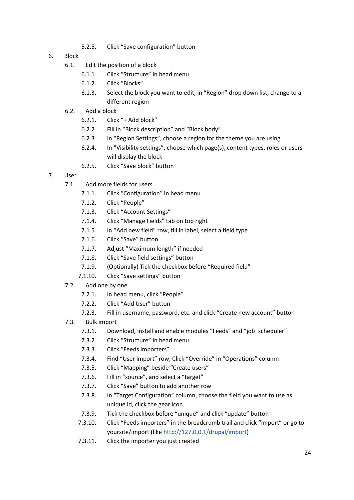- 5.2.5. Click "Save configuration" button
- 6. Block
	- 6.1. Edit the position of a block
		- 6.1.1. Click "Structure" in head menu
		- 6.1.2. Click "Blocks"
		- 6.1.3. Select the block you want to edit, in "Region" drop down list, change to a different region
	- 6.2. Add a block
		- 6.2.1. Click "+ Add block"
		- 6.2.2. Fill in "Block description" and "Block body"
		- 6.2.3. In "Region Settings", choose a region for the theme you are using
		- 6.2.4. In "Visibility settings", choose which page(s), content types, roles or users will display the block
		- 6.2.5. Click "Save block" button
- 7. User
	- 7.1. Add more fields for users
		- 7.1.1. Click "Configuration" in head menu
		- 7.1.2. Click "People"
		- 7.1.3. Click "Account Settings"
		- 7.1.4. Click "Manage Fields" tab on top right
		- 7.1.5. In "Add new field" row, fill in label, select a field type
		- 7.1.6. Click "Save" button
		- 7.1.7. Adjust "Maximum length" if needed
		- 7.1.8. Click "Save field settings" button
		- 7.1.9. (Optionally) Tick the checkbox before "Required field"
		- 7.1.10. Click "Save settings" button
	- 7.2. Add one by one
		- 7.2.1. In head menu, click "People"
		- 7.2.2. Click "Add User" button
		- 7.2.3. Fill in username, password, etc. and click "Create new account" button
	- 7.3. Bulk import
		- 7.3.1. Download, install and enable modules "Feeds" and "job\_scheduler"
		- 7.3.2. Click "Structure" in head menu
		- 7.3.3. Click "Feeds importers"
		- 7.3.4. Find "User import" row, Click "Override" in "Operations" column
		- 7.3.5. Click "Mapping" beside "Create users"
		- 7.3.6. Fill in "source", and select a "target"
		- 7.3.7. Click "Save" button to add another row
		- 7.3.8. In "Target Configuration" column, choose the field you want to use as unique id, click the gear icon
		- 7.3.9. Tick the checkbox before "unique" and click "update" button
		- 7.3.10. Click "Feeds importers" in the breadcrumb trail and click "import" or go to yoursite/import (like [http://127.0.0.1/drupal/import\)](http://127.0.0.1/drupal/import)
		- 7.3.11. Click the importer you just created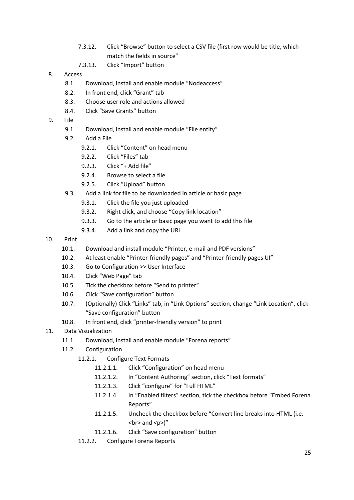- 7.3.12. Click "Browse" button to select a CSV file (first row would be title, which match the fields in source"
- 7.3.13. Click "Import" button
- 8. Access
	- 8.1. Download, install and enable module "Nodeaccess"
	- 8.2. In front end, click "Grant" tab
	- 8.3. Choose user role and actions allowed
	- 8.4. Click "Save Grants" button
- 9. File
	- 9.1. Download, install and enable module "File entity"
	- 9.2. Add a File
		- 9.2.1. Click "Content" on head menu
		- 9.2.2. Click "Files" tab
		- 9.2.3. Click "+ Add file"
		- 9.2.4. Browse to select a file
		- 9.2.5. Click "Upload" button
	- 9.3. Add a link for file to be downloaded in article or basic page
		- 9.3.1. Click the file you just uploaded
		- 9.3.2. Right click, and choose "Copy link location"
		- 9.3.3. Go to the article or basic page you want to add this file
		- 9.3.4. Add a link and copy the URL
- 10. Print
	- 10.1. Download and install module "Printer, e-mail and PDF versions"
	- 10.2. At least enable "Printer-friendly pages" and "Printer-friendly pages UI"
	- 10.3. Go to Configuration >> User Interface
	- 10.4. Click "Web Page" tab
	- 10.5. Tick the checkbox before "Send to printer"
	- 10.6. Click "Save configuration" button
	- 10.7. (Optionally) Click "Links" tab, in "Link Options" section, change "Link Location", click "Save configuration" button
	- 10.8. In front end, click "printer-friendly version" to print
- 11. Data Visualization
	- 11.1. Download, install and enable module "Forena reports"
	- 11.2. Configuration
		- 11.2.1. Configure Text Formats
			- 11.2.1.1. Click "Configuration" on head menu
			- 11.2.1.2. In "Content Authoring" section, click "Text formats"
			- 11.2.1.3. Click "configure" for "Full HTML"
			- 11.2.1.4. In "Enabled filters" section, tick the checkbox before "Embed Forena Reports"
			- 11.2.1.5. Uncheck the checkbox before "Convert line breaks into HTML (i.e.  $br> has an   
			d  
			s'$
			- 11.2.1.6. Click "Save configuration" button
		- 11.2.2. Configure Forena Reports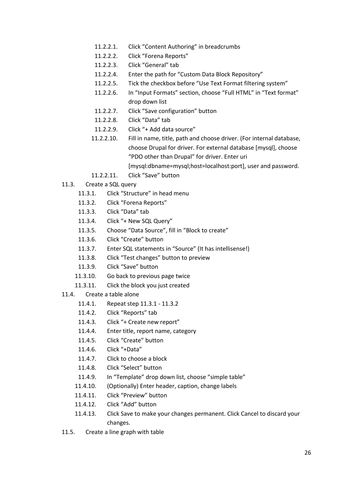- 11.2.2.1. Click "Content Authoring" in breadcrumbs
- 11.2.2.2. Click "Forena Reports"
- 11.2.2.3. Click "General" tab
- 11.2.2.4. Enter the path for "Custom Data Block Repository"
- 11.2.2.5. Tick the checkbox before "Use Text Format filtering system"
- 11.2.2.6. In "Input Formats" section, choose "Full HTML" in "Text format" drop down list
- 11.2.2.7. Click "Save configuration" button
- 11.2.2.8. Click "Data" tab
- 11.2.2.9. Click "+ Add data source"
- 11.2.2.10. Fill in name, title, path and choose driver. (For internal database, choose Drupal for driver. For external database [mysql], choose "PDO other than Drupal" for driver. Enter uri
	- [mysql:dbname=mysql;host=localhost:port], user and password.
- 11.2.2.11. Click "Save" button
- 11.3. Create a SQL query
	- 11.3.1. Click "Structure" in head menu
	- 11.3.2. Click "Forena Reports"
	- 11.3.3. Click "Data" tab
	- 11.3.4. Click "+ New SQL Query"
	- 11.3.5. Choose "Data Source", fill in "Block to create"
	- 11.3.6. Click "Create" button
	- 11.3.7. Enter SQL statements in "Source" (It has intellisense!)
	- 11.3.8. Click "Test changes" button to preview
	- 11.3.9. Click "Save" button
	- 11.3.10. Go back to previous page twice
	- 11.3.11. Click the block you just created
- 11.4. Create a table alone
	- 11.4.1. Repeat step 11.3.1 11.3.2
	- 11.4.2. Click "Reports" tab
	- 11.4.3. Click "+ Create new report"
	- 11.4.4. Enter title, report name, category
	- 11.4.5. Click "Create" button
	- 11.4.6. Click "+Data"
	- 11.4.7. Click to choose a block
	- 11.4.8. Click "Select" button
	- 11.4.9. In "Template" drop down list, choose "simple table"
	- 11.4.10. (Optionally) Enter header, caption, change labels
	- 11.4.11. Click "Preview" button
	- 11.4.12. Click "Add" button
	- 11.4.13. Click Save to make your changes permanent. Click Cancel to discard your changes.
- 11.5. Create a line graph with table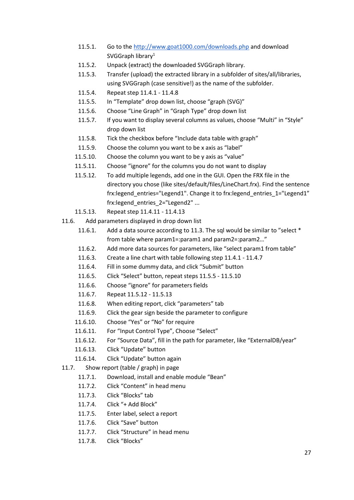- 11.5.1. Go to th[e http://www.goat1000.com/downloads.php](http://www.goat1000.com/downloads.php) and download SVGGraph library<sup>1</sup>
- 11.5.2. Unpack (extract) the downloaded SVGGraph library.
- 11.5.3. Transfer (upload) the extracted library in a subfolder of sites/all/libraries, using SVGGraph (case sensitive!) as the name of the subfolder.
- 11.5.4. Repeat step 11.4.1 11.4.8
- 11.5.5. In "Template" drop down list, choose "graph (SVG)"
- 11.5.6. Choose "Line Graph" in "Graph Type" drop down list
- 11.5.7. If you want to display several columns as values, choose "Multi" in "Style" drop down list
- 11.5.8. Tick the checkbox before "Include data table with graph"
- 11.5.9. Choose the column you want to be x axis as "label"
- 11.5.10. Choose the column you want to be y axis as "value"
- 11.5.11. Choose "ignore" for the columns you do not want to display
- 11.5.12. To add multiple legends, add one in the GUI. Open the FRX file in the directory you chose (like sites/default/files/LineChart.frx). Find the sentence frx:legend\_entries="Legend1". Change it to frx:legend\_entries\_1="Legend1" frx:legend\_entries\_2="Legend2" ...
- 11.5.13. Repeat step 11.4.11 11.4.13
- 11.6. Add parameters displayed in drop down list
	- 11.6.1. Add a data source according to 11.3. The sql would be similar to "select \* from table where param1=:param1 and param2=:param2…"
	- 11.6.2. Add more data sources for parameters, like "select param1 from table"
	- 11.6.3. Create a line chart with table following step 11.4.1 11.4.7
	- 11.6.4. Fill in some dummy data, and click "Submit" button
	- 11.6.5. Click "Select" button, repeat steps 11.5.5 11.5.10
	- 11.6.6. Choose "ignore" for parameters fields
	- 11.6.7. Repeat 11.5.12 11.5.13
	- 11.6.8. When editing report, click "parameters" tab
	- 11.6.9. Click the gear sign beside the parameter to configure
	- 11.6.10. Choose "Yes" or "No" for require
	- 11.6.11. For "Input Control Type", Choose "Select"
	- 11.6.12. For "Source Data", fill in the path for parameter, like "ExternalDB/year"
	- 11.6.13. Click "Update" button
	- 11.6.14. Click "Update" button again
- 11.7. Show report (table / graph) in page
	- 11.7.1. Download, install and enable module "Bean"
	- 11.7.2. Click "Content" in head menu
	- 11.7.3. Click "Blocks" tab
	- 11.7.4. Click "+ Add Block"
	- 11.7.5. Enter label, select a report
	- 11.7.6. Click "Save" button
	- 11.7.7. Click "Structure" in head menu
	- 11.7.8. Click "Blocks"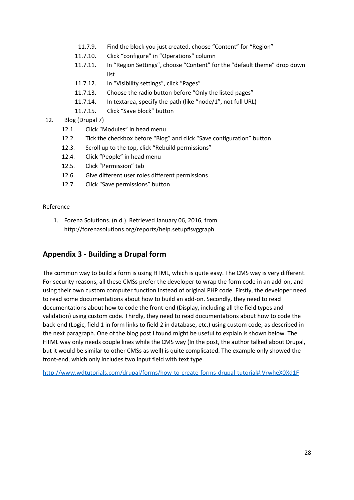- 11.7.9. Find the block you just created, choose "Content" for "Region"
- 11.7.10. Click "configure" in "Operations" column
- 11.7.11. In "Region Settings", choose "Content" for the "default theme" drop down list
- 11.7.12. In "Visibility settings", click "Pages"
- 11.7.13. Choose the radio button before "Only the listed pages"
- 11.7.14. In textarea, specify the path (like "node/1", not full URL)
- 11.7.15. Click "Save block" button
- 12. Blog (Drupal 7)
	- 12.1. Click "Modules" in head menu
	- 12.2. Tick the checkbox before "Blog" and click "Save configuration" button
	- 12.3. Scroll up to the top, click "Rebuild permissions"
	- 12.4. Click "People" in head menu
	- 12.5. Click "Permission" tab
	- 12.6. Give different user roles different permissions
	- 12.7. Click "Save permissions" button

#### Reference

1. Forena Solutions. (n.d.). Retrieved January 06, 2016, from http://forenasolutions.org/reports/help.setup#svggraph

### **Appendix 3 - Building a Drupal form**

The common way to build a form is using HTML, which is quite easy. The CMS way is very different. For security reasons, all these CMSs prefer the developer to wrap the form code in an add-on, and using their own custom computer function instead of original PHP code. Firstly, the developer need to read some documentations about how to build an add-on. Secondly, they need to read documentations about how to code the front-end (Display, including all the field types and validation) using custom code. Thirdly, they need to read documentations about how to code the back-end (Logic, field 1 in form links to field 2 in database, etc.) using custom code, as described in the next paragraph. One of the blog post I found might be useful to explain is shown below. The HTML way only needs couple lines while the CMS way (In the post, the author talked about Drupal, but it would be similar to other CMSs as well) is quite complicated. The example only showed the front-end, which only includes two input field with text type.

<http://www.wdtutorials.com/drupal/forms/how-to-create-forms-drupal-tutorial#.VrwheX0Xd1F>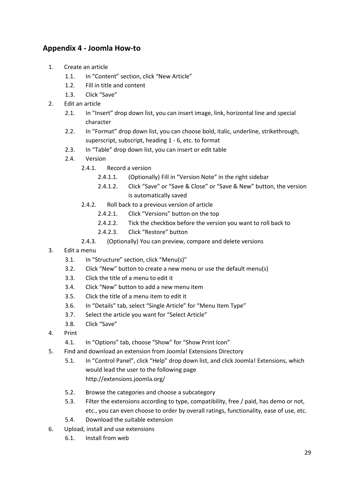### **Appendix 4 - Joomla How-to**

- 1. Create an article
	- 1.1. In "Content" section, click "New Article"
	- 1.2. Fill in title and content
	- 1.3. Click "Save"
- 2. Edit an article
	- 2.1. In "Insert" drop down list, you can insert image, link, horizontal line and special character
	- 2.2. In "Format" drop down list, you can choose bold, italic, underline, strikethrough, superscript, subscript, heading 1 - 6, etc. to format
	- 2.3. In "Table" drop down list, you can insert or edit table
	- 2.4. Version
		- 2.4.1. Record a version
			- 2.4.1.1. (Optionally) Fill in "Version Note" in the right sidebar
			- 2.4.1.2. Click "Save" or "Save & Close" or "Save & New" button, the version is automatically saved
		- 2.4.2. Roll back to a previous version of article
			- 2.4.2.1. Click "Versions" button on the top
			- 2.4.2.2. Tick the checkbox before the version you want to roll back to
			- 2.4.2.3. Click "Restore" button
		- 2.4.3. (Optionally) You can preview, compare and delete versions
- 3. Edit a menu
	- 3.1. In "Structure" section, click "Menu(s)"
	- 3.2. Click "New" button to create a new menu or use the default menu(s)
	- 3.3. Click the title of a menu to edit it
	- 3.4. Click "New" button to add a new menu item
	- 3.5. Click the title of a menu item to edit it
	- 3.6. In "Details" tab, select "Single Article" for "Menu Item Type"
	- 3.7. Select the article you want for "Select Article"
	- 3.8. Click "Save"
- 4. Print

4.1. In "Options" tab, choose "Show" for "Show Print Icon"

- 5. Find and download an extension from Joomla! Extensions Directory
	- 5.1. In "Control Panel", click "Help" drop down list, and click Joomla! Extensions, which would lead the user to the following page http://extensions.joomla.org/
	- 5.2. Browse the categories and choose a subcategory
	- 5.3. Filter the extensions according to type, compatibility, free / paid, has demo or not, etc., you can even choose to order by overall ratings, functionality, ease of use, etc.
	- 5.4. Download the suitable extension
- 6. Upload, install and use extensions
	- 6.1. Install from web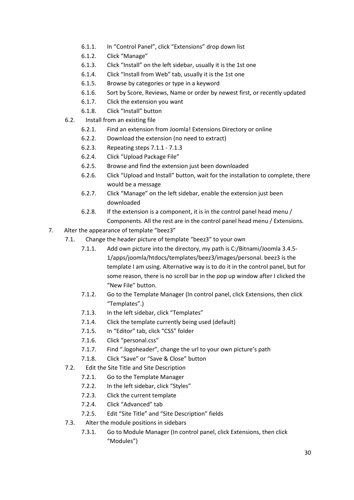- 6.1.1. In "Control Panel", click "Extensions" drop down list
- 6.1.2. Click "Manage"
- 6.1.3. Click "Install" on the left sidebar, usually it is the 1st one
- 6.1.4. Click "Install from Web" tab, usually it is the 1st one
- 6.1.5. Browse by categories or type in a keyword
- 6.1.6. Sort by Score, Reviews, Name or order by newest first, or recently updated
- 6.1.7. Click the extension you want
- 6.1.8. Click "Install" button
- 6.2. Install from an existing file
	- 6.2.1. Find an extension from Joomla! Extensions Directory or online
	- 6.2.2. Download the extension (no need to extract)
	- 6.2.3. Repeating steps 7.1.1 7.1.3
	- 6.2.4. Click "Upload Package File"
	- 6.2.5. Browse and find the extension just been downloaded
	- 6.2.6. Click "Upload and Install" button, wait for the installation to complete, there would be a message
	- 6.2.7. Click "Manage" on the left sidebar, enable the extension just been downloaded
	- 6.2.8. If the extension is a component, it is in the control panel head menu / Components. All the rest are in the control panel head menu / Extensions.
- 7. Alter the appearance of template "beez3"
	- 7.1. Change the header picture of template "beez3" to your own
		- 7.1.1. Add own picture into the directory, my path is C:/Bitnami/Joomla 3.4.5- 1/apps/joomla/htdocs/templates/beez3/images/personal. beez3 is the template I am using. Alternative way is to do it in the control panel, but for some reason, there is no scroll bar in the pop up window after I clicked the "New File" button.
		- 7.1.2. Go to the Template Manager (In control panel, click Extensions, then click "Templates".)
		- 7.1.3. In the left sidebar, click "Templates"
		- 7.1.4. Click the template currently being used (default)
		- 7.1.5. In "Editor" tab, click "CSS" folder
		- 7.1.6. Click "personal.css"
		- 7.1.7. Find ".logoheader", change the url to your own picture's path
		- 7.1.8. Click "Save" or "Save & Close" button
	- 7.2. Edit the Site Title and Site Description
		- 7.2.1. Go to the Template Manager
		- 7.2.2. In the left sidebar, click "Styles"
		- 7.2.3. Click the current template
		- 7.2.4. Click "Advanced" tab
		- 7.2.5. Edit "Site Title" and "Site Description" fields
	- 7.3. Alter the module positions in sidebars
		- 7.3.1. Go to Module Manager (In control panel, click Extensions, then click "Modules")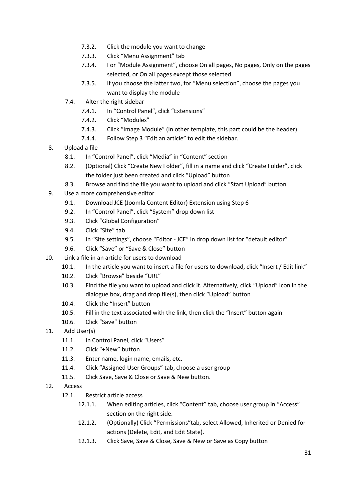- 7.3.2. Click the module you want to change
- 7.3.3. Click "Menu Assignment" tab
- 7.3.4. For "Module Assignment", choose On all pages, No pages, Only on the pages selected, or On all pages except those selected
- 7.3.5. If you choose the latter two, for "Menu selection", choose the pages you want to display the module
- 7.4. Alter the right sidebar
	- 7.4.1. In "Control Panel", click "Extensions"
	- 7.4.2. Click "Modules"
	- 7.4.3. Click "Image Module" (In other template, this part could be the header)
	- 7.4.4. Follow Step 3 "Edit an article" to edit the sidebar.
- 8. Upload a file
	- 8.1. In "Control Panel", click "Media" in "Content" section
	- 8.2. (Optional) Click "Create New Folder", fill in a name and click "Create Folder", click the folder just been created and click "Upload" button
	- 8.3. Browse and find the file you want to upload and click "Start Upload" button
- 9. Use a more comprehensive editor
	- 9.1. Download JCE (Joomla Content Editor) Extension using Step 6
	- 9.2. In "Control Panel", click "System" drop down list
	- 9.3. Click "Global Configuration"
	- 9.4. Click "Site" tab
	- 9.5. In "Site settings", choose "Editor JCE" in drop down list for "default editor"
	- 9.6. Click "Save" or "Save & Close" button
- 10. Link a file in an article for users to download
	- 10.1. In the article you want to insert a file for users to download, click "Insert / Edit link"
	- 10.2. Click "Browse" beside "URL"
	- 10.3. Find the file you want to upload and click it. Alternatively, click "Upload" icon in the dialogue box, drag and drop file(s), then click "Upload" button
	- 10.4. Click the "Insert" button
	- 10.5. Fill in the text associated with the link, then click the "Insert" button again
	- 10.6. Click "Save" button
- 11. Add User(s)
	- 11.1. In Control Panel, click "Users"
	- 11.2. Click "+New" button
	- 11.3. Enter name, login name, emails, etc.
	- 11.4. Click "Assigned User Groups" tab, choose a user group
	- 11.5. Click Save, Save & Close or Save & New button.
- 12. Access
	- 12.1. Restrict article access
		- 12.1.1. When editing articles, click "Content" tab, choose user group in "Access" section on the right side.
		- 12.1.2. (Optionally) Click "Permissions"tab, select Allowed, Inherited or Denied for actions (Delete, Edit, and Edit State).
		- 12.1.3. Click Save, Save & Close, Save & New or Save as Copy button